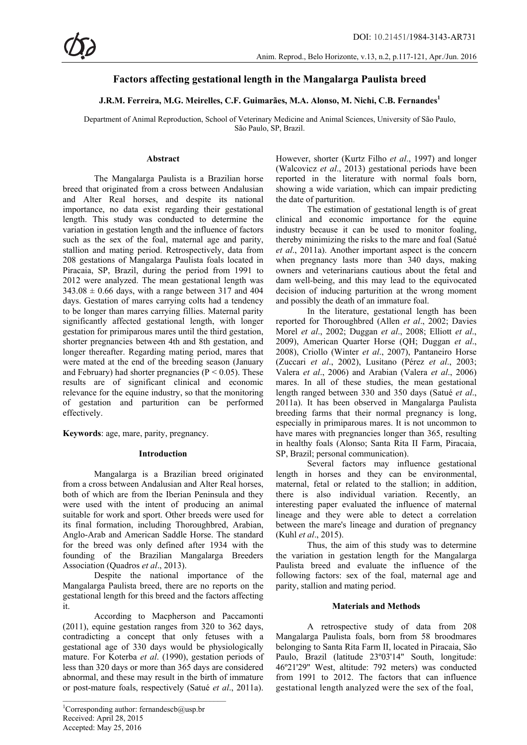# **Factors affecting gestational length in the Mangalarga Paulista breed**

## **J.R.M. Ferreira, M.G. Meirelles, C.F. Guimarães, M.A. Alonso, M. Nichi, C.B. Fernandes1**

Department of Animal Reproduction, School of Veterinary Medicine and Animal Sciences, University of São Paulo, São Paulo, SP, Brazil.

#### **Abstract**

The Mangalarga Paulista is a Brazilian horse breed that originated from a cross between Andalusian and Alter Real horses, and despite its national importance, no data exist regarding their gestational length. This study was conducted to determine the variation in gestation length and the influence of factors such as the sex of the foal, maternal age and parity, stallion and mating period. Retrospectively, data from 208 gestations of Mangalarga Paulista foals located in Piracaia, SP, Brazil, during the period from 1991 to 2012 were analyzed. The mean gestational length was  $343.08 \pm 0.66$  days, with a range between 317 and 404 days. Gestation of mares carrying colts had a tendency to be longer than mares carrying fillies. Maternal parity significantly affected gestational length, with longer gestation for primiparous mares until the third gestation, shorter pregnancies between 4th and 8th gestation, and longer thereafter. Regarding mating period, mares that were mated at the end of the breeding season (January and February) had shorter pregnancies ( $P < 0.05$ ). These results are of significant clinical and economic relevance for the equine industry, so that the monitoring of gestation and parturition can be performed effectively.

**Keywords**: age, mare, parity, pregnancy.

## **Introduction**

Mangalarga is a Brazilian breed originated from a cross between Andalusian and Alter Real horses, both of which are from the Iberian Peninsula and they were used with the intent of producing an animal suitable for work and sport. Other breeds were used for its final formation, including Thoroughbred, Arabian, Anglo-Arab and American Saddle Horse. The standard for the breed was only defined after 1934 with the founding of the Brazilian Mangalarga Breeders Association (Quadros *et al*., 2013).

Despite the national importance of the Mangalarga Paulista breed, there are no reports on the gestational length for this breed and the factors affecting it.

According to Macpherson and Paccamonti (2011), equine gestation ranges from 320 to 362 days, contradicting a concept that only fetuses with a gestational age of 330 days would be physiologically mature. For Koterba *et al*. (1990), gestation periods of less than 320 days or more than 365 days are considered abnormal, and these may result in the birth of immature or post-mature foals, respectively (Satué *et al*., 2011a).

 $\mathcal{L}_\text{max}$ 

However, shorter (Kurtz Filho *et al*., 1997) and longer (Walcovicz *et al*., 2013) gestational periods have been reported in the literature with normal foals born, showing a wide variation, which can impair predicting the date of parturition.

The estimation of gestational length is of great clinical and economic importance for the equine industry because it can be used to monitor foaling, thereby minimizing the risks to the mare and foal (Satué *et al*., 2011a). Another important aspect is the concern when pregnancy lasts more than 340 days, making owners and veterinarians cautious about the fetal and dam well-being, and this may lead to the equivocated decision of inducing parturition at the wrong moment and possibly the death of an immature foal.

In the literature, gestational length has been reported for Thoroughbred (Allen *et al*., 2002; Davies Morel *et al*., 2002; Duggan *et al*., 2008; Elliott *et al*., 2009), American Quarter Horse (QH; Duggan *et al*., 2008), Criollo (Winter *et al*., 2007), Pantaneiro Horse (Zuccari *et al*., 2002), Lusitano (Pérez *et al*., 2003; Valera *et al*., 2006) and Arabian (Valera *et al*., 2006) mares. In all of these studies, the mean gestational length ranged between 330 and 350 days (Satué *et al*., 2011a). It has been observed in Mangalarga Paulista breeding farms that their normal pregnancy is long, especially in primiparous mares. It is not uncommon to have mares with pregnancies longer than 365, resulting in healthy foals (Alonso; Santa Rita II Farm, Piracaia, SP, Brazil; personal communication).

Several factors may influence gestational length in horses and they can be environmental, maternal, fetal or related to the stallion; in addition, there is also individual variation. Recently, an interesting paper evaluated the influence of maternal lineage and they were able to detect a correlation between the mare's lineage and duration of pregnancy (Kuhl *et al*., 2015).

Thus, the aim of this study was to determine the variation in gestation length for the Mangalarga Paulista breed and evaluate the influence of the following factors: sex of the foal, maternal age and parity, stallion and mating period.

## **Materials and Methods**

A retrospective study of data from 208 Mangalarga Paulista foals, born from 58 broodmares belonging to Santa Rita Farm II, located in Piracaia, São Paulo, Brazil (latitude 23º03'14" South, longitude: 46º21'29" West, altitude: 792 meters) was conducted from 1991 to 2012. The factors that can influence gestational length analyzed were the sex of the foal,

<sup>1</sup> Corresponding author: fernandescb@usp.br Received: April 28, 2015 Accepted: May 25, 2016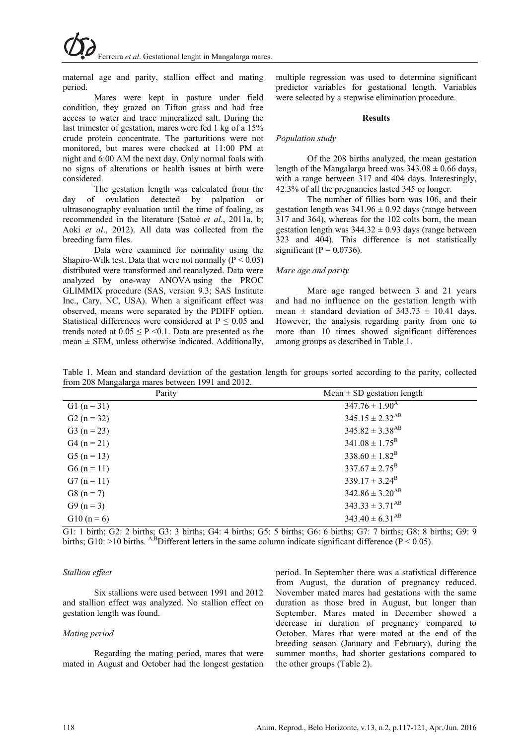maternal age and parity, stallion effect and mating period.

Mares were kept in pasture under field condition, they grazed on Tifton grass and had free access to water and trace mineralized salt. During the last trimester of gestation, mares were fed 1 kg of a 15% crude protein concentrate. The parturitions were not monitored, but mares were checked at 11:00 PM at night and 6:00 AM the next day. Only normal foals with no signs of alterations or health issues at birth were considered.

The gestation length was calculated from the day of ovulation detected by palpation or ultrasonography evaluation until the time of foaling, as recommended in the literature (Satué *et al*., 2011a, b; Aoki *et al*., 2012). All data was collected from the breeding farm files.

Data were examined for normality using the Shapiro-Wilk test. Data that were not normally ( $P < 0.05$ ) distributed were transformed and reanalyzed. Data were analyzed by one-way ANOVA using the PROC GLIMMIX procedure (SAS, version 9.3; SAS Institute Inc., Cary, NC, USA). When a significant effect was observed, means were separated by the PDIFF option. Statistical differences were considered at  $P \le 0.05$  and trends noted at  $0.05 \leq P \leq 0.1$ . Data are presented as the mean  $\pm$  SEM, unless otherwise indicated. Additionally,

multiple regression was used to determine significant predictor variables for gestational length. Variables were selected by a stepwise elimination procedure.

#### **Results**

#### *Population study*

Of the 208 births analyzed, the mean gestation length of the Mangalarga breed was  $343.08 \pm 0.66$  days, with a range between 317 and 404 days. Interestingly, 42.3% of all the pregnancies lasted 345 or longer.

The number of fillies born was 106, and their gestation length was  $341.96 \pm 0.92$  days (range between 317 and 364), whereas for the 102 colts born, the mean gestation length was  $344.32 \pm 0.93$  days (range between 323 and 404). This difference is not statistically significant ( $P = 0.0736$ ).

## *Mare age and parity*

Mare age ranged between 3 and 21 years and had no influence on the gestation length with mean  $\pm$  standard deviation of 343.73  $\pm$  10.41 days. However, the analysis regarding parity from one to more than 10 times showed significant differences among groups as described in Table 1.

Table 1. Mean and standard deviation of the gestation length for groups sorted according to the parity, collected from 208 Mangalarga mares between 1991 and 2012.

| Parity        | Mean $\pm$ SD gestation length  |
|---------------|---------------------------------|
| G1 $(n = 31)$ | $347.76 \pm 1.90$ <sup>A</sup>  |
| $G2(n=32)$    | $345.15 \pm 2.32$ <sup>AB</sup> |
| $G3(n = 23)$  | $345.82 \pm 3.38$ <sup>AB</sup> |
| $G4(n = 21)$  | $341.08 \pm 1.75^{\rm B}$       |
| $G5(n = 13)$  | $338.60 \pm 1.82^{\rm B}$       |
| $G6 (n = 11)$ | $337.67 \pm 2.75^{\rm B}$       |
| $G7(n = 11)$  | $339.17 \pm 3.24^{\rm B}$       |
| $G8(n=7)$     | $342.86 \pm 3.20$ <sup>AB</sup> |
| $G9(n=3)$     | $343.33 \pm 3.71$ <sup>AB</sup> |
| $G10(n=6)$    | $343.40 \pm 6.31$ <sup>AB</sup> |

G1: 1 birth; G2: 2 births; G3: 3 births; G4: 4 births; G5: 5 births; G6: 6 births; G7: 7 births; G8: 8 births; G9: 9 births; G10: >10 births. A,BDifferent letters in the same column indicate significant difference (P < 0.05).

## *Stallion effect*

Six stallions were used between 1991 and 2012 and stallion effect was analyzed. No stallion effect on gestation length was found.

## *Mating period*

Regarding the mating period, mares that were mated in August and October had the longest gestation period. In September there was a statistical difference from August, the duration of pregnancy reduced. November mated mares had gestations with the same duration as those bred in August, but longer than September. Mares mated in December showed a decrease in duration of pregnancy compared to October. Mares that were mated at the end of the breeding season (January and February), during the summer months, had shorter gestations compared to the other groups (Table 2).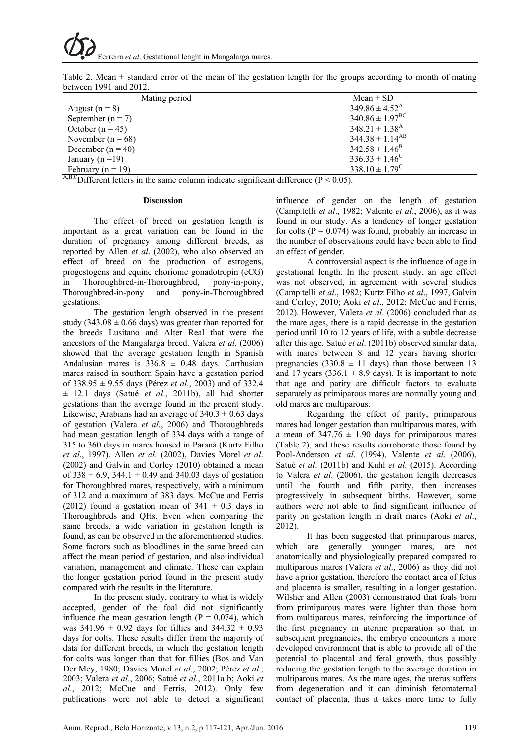| Table 2. Mean $\pm$ standard error of the mean of the gestation length for the groups according to month of mating |  |  |  |  |  |  |  |
|--------------------------------------------------------------------------------------------------------------------|--|--|--|--|--|--|--|
| between $1991$ and $2012$ .                                                                                        |  |  |  |  |  |  |  |

| Mating period                                                                                                                                                                                                                          | $Mean \pm SD$                  |
|----------------------------------------------------------------------------------------------------------------------------------------------------------------------------------------------------------------------------------------|--------------------------------|
| August $(n = 8)$                                                                                                                                                                                                                       | $349.86 \pm 4.52^{\rm A}$      |
| September ( $n = 7$ )                                                                                                                                                                                                                  | $340.86 \pm 1.97^{\text{BC}}$  |
| October $(n = 45)$                                                                                                                                                                                                                     | $348.21 \pm 1.38$ <sup>A</sup> |
| November ( $n = 68$ )                                                                                                                                                                                                                  | $344.38 \pm 1.14^{AB}$         |
| December ( $n = 40$ )                                                                                                                                                                                                                  | $342.58 \pm 1.46^{\rm B}$      |
| January ( $n = 19$ )                                                                                                                                                                                                                   | $336.33 \pm 1.46^{\circ}$      |
| February ( $n = 19$ )                                                                                                                                                                                                                  | $338.10 \pm 1.79^{\circ}$      |
| ABC $\Gamma$ : $\alpha$ , $\alpha$ $\alpha$ $\beta$ $\gamma$ $\alpha$ $\beta$ $\gamma$ $\alpha$ $\beta$ $\gamma$ $\beta$ $\gamma$ $\beta$ $\gamma$ $\beta$ $\gamma$ $\beta$ $\gamma$ $\beta$ $\gamma$ $\beta$ $\beta$ $\beta$ $\gamma$ |                                |

Different letters in the same column indicate significant difference ( $P < 0.05$ ).

#### **Discussion**

The effect of breed on gestation length is important as a great variation can be found in the duration of pregnancy among different breeds, as reported by Allen *et al*. (2002), who also observed an effect of breed on the production of estrogens, progestogens and equine chorionic gonadotropin (eCG) in Thoroughbred-in-Thoroughbred, pony-in-pony, Thoroughbred-in-pony and pony-in-Thoroughbred gestations.

The gestation length observed in the present study (343.08  $\pm$  0.66 days) was greater than reported for the breeds Lusitano and Alter Real that were the ancestors of the Mangalarga breed. Valera *et al*. (2006) showed that the average gestation length in Spanish Andalusian mares is  $336.8 \pm 0.48$  days. Carthusian mares raised in southern Spain have a gestation period of 338.95 ± 9.55 days (Pérez *et al*., 2003) and of 332.4 ± 12.1 days (Satué *et al*., 2011b), all had shorter gestations than the average found in the present study. Likewise, Arabians had an average of  $340.3 \pm 0.63$  days of gestation (Valera *et al*., 2006) and Thoroughbreds had mean gestation length of 334 days with a range of 315 to 360 days in mares housed in Paraná (Kurtz Filho *et al*., 1997). Allen *et al*. (2002), Davies Morel *et al*. (2002) and Galvin and Corley (2010) obtained a mean of  $338 \pm 6.9$ ,  $344.1 \pm 0.49$  and  $340.03$  days of gestation for Thoroughbred mares, respectively, with a minimum of 312 and a maximum of 383 days. McCue and Ferris (2012) found a gestation mean of  $341 \pm 0.3$  days in Thoroughbreds and QHs. Even when comparing the same breeds, a wide variation in gestation length is found, as can be observed in the aforementioned studies. Some factors such as bloodlines in the same breed can affect the mean period of gestation, and also individual variation, management and climate. These can explain the longer gestation period found in the present study compared with the results in the literature.

In the present study, contrary to what is widely accepted, gender of the foal did not significantly influence the mean gestation length  $(P = 0.074)$ , which was  $341.96 \pm 0.92$  days for fillies and  $344.32 \pm 0.93$ days for colts. These results differ from the majority of data for different breeds, in which the gestation length for colts was longer than that for fillies (Bos and Van Der Mey, 1980; Davies Morel *et al*., 2002; Pérez *et al*., 2003; Valera *et al*., 2006; Satué *et al*., 2011a b; Aoki *et al*., 2012; McCue and Ferris, 2012). Only few publications were not able to detect a significant

influence of gender on the length of gestation (Campitelli *et al*., 1982; Valente *et al*., 2006), as it was found in our study. As a tendency of longer gestation for colts ( $P = 0.074$ ) was found, probably an increase in the number of observations could have been able to find an effect of gender.

A controversial aspect is the influence of age in gestational length. In the present study, an age effect was not observed, in agreement with several studies (Campitelli *et al*., 1982; Kurtz Filho *et al*., 1997, Galvin and Corley, 2010; Aoki *et al*., 2012; McCue and Ferris, 2012). However, Valera *et al*. (2006) concluded that as the mare ages, there is a rapid decrease in the gestation period until 10 to 12 years of life, with a subtle decrease after this age. Satué *et al*. (2011b) observed similar data, with mares between 8 and 12 years having shorter pregnancies (330.8  $\pm$  11 days) than those between 13 and 17 years (336.1  $\pm$  8.9 days). It is important to note that age and parity are difficult factors to evaluate separately as primiparous mares are normally young and old mares are multiparous.

Regarding the effect of parity, primiparous mares had longer gestation than multiparous mares, with a mean of  $347.76 \pm 1.90$  days for primiparous mares (Table 2), and these results corroborate those found by Pool-Anderson *et al*. (1994), Valente *et al*. (2006), Satué *et al*. (2011b) and Kuhl *et al*. (2015). According to Valera *et al*. (2006), the gestation length decreases until the fourth and fifth parity, then increases progressively in subsequent births. However, some authors were not able to find significant influence of parity on gestation length in draft mares (Aoki *et al*., 2012).

It has been suggested that primiparous mares, which are generally younger mares, are not anatomically and physiologically prepared compared to multiparous mares (Valera *et al*., 2006) as they did not have a prior gestation, therefore the contact area of fetus and placenta is smaller, resulting in a longer gestation. Wilsher and Allen (2003) demonstrated that foals born from primiparous mares were lighter than those born from multiparous mares, reinforcing the importance of the first pregnancy in uterine preparation so that, in subsequent pregnancies, the embryo encounters a more developed environment that is able to provide all of the potential to placental and fetal growth, thus possibly reducing the gestation length to the average duration in multiparous mares. As the mare ages, the uterus suffers from degeneration and it can diminish fetomaternal contact of placenta, thus it takes more time to fully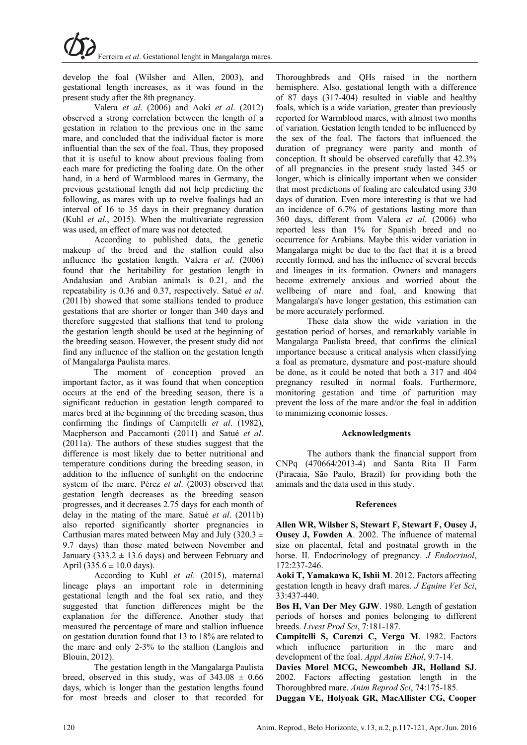develop the foal (Wilsher and Allen, 2003), and gestational length increases, as it was found in the present study after the 8th pregnancy.

Valera *et al*. (2006) and Aoki *et al*. (2012) observed a strong correlation between the length of a gestation in relation to the previous one in the same mare, and concluded that the individual factor is more influential than the sex of the foal. Thus, they proposed that it is useful to know about previous foaling from each mare for predicting the foaling date. On the other hand, in a herd of Warmblood mares in Germany, the previous gestational length did not help predicting the following, as mares with up to twelve foalings had an interval of 16 to 35 days in their pregnancy duration (Kuhl *et al*., 2015). When the multivariate regression was used, an effect of mare was not detected.

According to published data, the genetic makeup of the breed and the stallion could also influence the gestation length. Valera *et al*. (2006) found that the heritability for gestation length in Andalusian and Arabian animals is 0.21, and the repeatability is 0.36 and 0.37, respectively. Satué *et al*. (2011b) showed that some stallions tended to produce gestations that are shorter or longer than 340 days and therefore suggested that stallions that tend to prolong the gestation length should be used at the beginning of the breeding season. However, the present study did not find any influence of the stallion on the gestation length of Mangalarga Paulista mares.

The moment of conception proved an important factor, as it was found that when conception occurs at the end of the breeding season, there is a significant reduction in gestation length compared to mares bred at the beginning of the breeding season, thus confirming the findings of Campitelli *et al*. (1982), Macpherson and Paccamonti (2011) and Satué *et al*. (2011a). The authors of these studies suggest that the difference is most likely due to better nutritional and temperature conditions during the breeding season, in addition to the influence of sunlight on the endocrine system of the mare. Pérez *et al*. (2003) observed that gestation length decreases as the breeding season progresses, and it decreases 2.75 days for each month of delay in the mating of the mare. Satué *et al*. (2011b) also reported significantly shorter pregnancies in Carthusian mares mated between May and July (320.3  $\pm$ 9.7 days) than those mated between November and January (333.2  $\pm$  13.6 days) and between February and April (335.6  $\pm$  10.0 days).

According to Kuhl *et al*. (2015), maternal lineage plays an important role in determining gestational length and the foal sex ratio, and they suggested that function differences might be the explanation for the difference. Another study that measured the percentage of mare and stallion influence on gestation duration found that 13 to 18% are related to the mare and only 2-3% to the stallion (Langlois and Blouin, 2012).

The gestation length in the Mangalarga Paulista breed, observed in this study, was of  $343.08 \pm 0.66$ days, which is longer than the gestation lengths found for most breeds and closer to that recorded for Thoroughbreds and QHs raised in the northern hemisphere. Also, gestational length with a difference of 87 days (317-404) resulted in viable and healthy foals, which is a wide variation, greater than previously reported for Warmblood mares, with almost two months of variation. Gestation length tended to be influenced by the sex of the foal. The factors that influenced the duration of pregnancy were parity and month of conception. It should be observed carefully that 42.3% of all pregnancies in the present study lasted 345 or longer, which is clinically important when we consider that most predictions of foaling are calculated using 330 days of duration. Even more interesting is that we had an incidence of 6.7% of gestations lasting more than 360 days, different from Valera *et al*. (2006) who reported less than 1% for Spanish breed and no occurrence for Arabians. Maybe this wider variation in Mangalarga might be due to the fact that it is a breed recently formed, and has the influence of several breeds and lineages in its formation. Owners and managers become extremely anxious and worried about the wellbeing of mare and foal, and knowing that Mangalarga's have longer gestation, this estimation can be more accurately performed.

These data show the wide variation in the gestation period of horses, and remarkably variable in Mangalarga Paulista breed, that confirms the clinical importance because a critical analysis when classifying a foal as premature, dysmature and post-mature should be done, as it could be noted that both a 317 and 404 pregnancy resulted in normal foals. Furthermore, monitoring gestation and time of parturition may prevent the loss of the mare and/or the foal in addition to minimizing economic losses.

## **Acknowledgments**

The authors thank the financial support from CNPq (470664/2013-4) and Santa Rita II Farm (Piracaia, São Paulo, Brazil) for providing both the animals and the data used in this study.

#### **References**

**Allen WR, Wilsher S, Stewart F, Stewart F, Ousey J, Ousey J, Fowden A**. 2002. The influence of maternal size on placental, fetal and postnatal growth in the horse. II. Endocrinology of pregnancy. *J Endocrinol*, 172:237-246.

**Aoki T, Yamakawa K, Ishii M**. 2012. Factors affecting gestation length in heavy draft mares. *J Equine Vet Sci*, 33:437-440.

**Bos H, Van Der Mey GJW**. 1980. Length of gestation periods of horses and ponies belonging to different breeds. *Livest Prod Sci*, 7:181-187.

**Campitelli S, Carenzi C, Verga M**. 1982. Factors which influence parturition in the mare and development of the foal. *Appl Anim Ethol*, 9:7-14.

**Davies Morel MCG, Newcombeb JR, Holland SJ**. 2002. Factors affecting gestation length in the Thoroughbred mare. *Anim Reprod Sci*, 74:175-185.

**Duggan VE, Holyoak GR, MacAllister CG, Cooper**